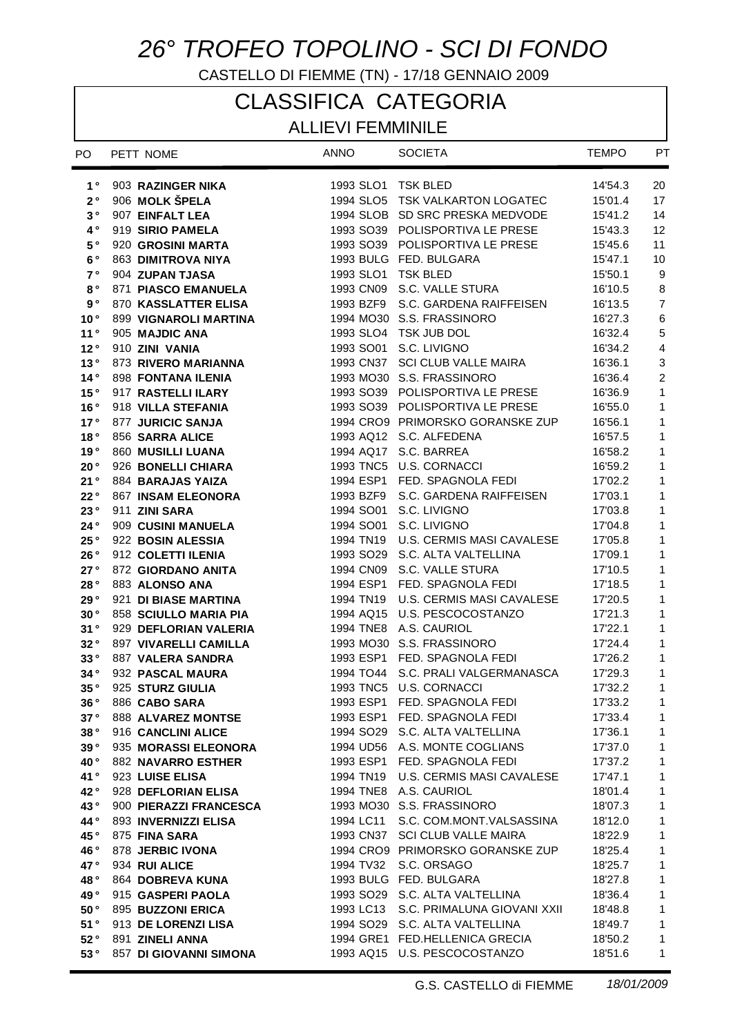## *26° TROFEO TOPOLINO - SCI DI FONDO*

CASTELLO DI FIEMME (TN) - 17/18 GENNAIO 2009

# CLASSIFICA CATEGORIA

## ALLIEVI FEMMINILE

| PO              | PETT NOME                              | <b>ANNO</b>            | <b>SOCIETA</b>                                  | <b>TEMPO</b>       | PT                        |
|-----------------|----------------------------------------|------------------------|-------------------------------------------------|--------------------|---------------------------|
| $1^{\circ}$     | 903 RAZINGER NIKA                      | 1993 SLO1 TSK BLED     |                                                 | 14'54.3            | 20                        |
| $2^{\circ}$     | 906 MOLK ŠPELA                         |                        | 1994 SLO5 TSK VALKARTON LOGATEC                 | 15'01.4            | 17                        |
| 3°              | 907 EINFALT LEA                        |                        | 1994 SLOB SD SRC PRESKA MEDVODE                 | 15'41.2            | 14                        |
| $4^{\circ}$     | 919 SIRIO PAMELA                       |                        | 1993 SO39 POLISPORTIVA LE PRESE                 | 15'43.3            | 12                        |
| 5°              | 920 GROSINI MARTA                      |                        | 1993 SO39 POLISPORTIVA LE PRESE                 | 15'45.6            | 11                        |
| 6°              | 863 DIMITROVA NIYA                     |                        | 1993 BULG FED. BULGARA                          | 15'47.1            | 10                        |
| 7 <sup>°</sup>  | 904 ZUPAN TJASA                        | 1993 SLO1              | <b>TSK BLED</b>                                 | 15'50.1            | 9                         |
| $8^{\circ}$     | 871 PIASCO EMANUELA                    | 1993 CN09              | S.C. VALLE STURA                                | 16'10.5            | $\bf 8$                   |
| 9°              | 870 KASSLATTER ELISA                   | 1993 BZF9              | S.C. GARDENA RAIFFEISEN                         | 16'13.5            | $\overline{7}$            |
| 10 <sup>°</sup> | 899 VIGNAROLI MARTINA                  |                        | 1994 MO30 S.S. FRASSINORO                       | 16'27.3            | $\,6$                     |
| 11°             | 905 MAJDIC ANA                         |                        | 1993 SLO4 TSK JUB DOL                           | 16'32.4            | $\sqrt{5}$                |
| 12°             | 910 ZINI VANIA                         | 1993 SO01              | S.C. LIVIGNO                                    | 16'34.2            | $\overline{4}$            |
| 13°             | 873 RIVERO MARIANNA                    | 1993 CN37              | SCI CLUB VALLE MAIRA                            | 16'36.1            | $\ensuremath{\mathsf{3}}$ |
| 14°             | 898 FONTANA ILENIA                     |                        | 1993 MO30 S.S. FRASSINORO                       | 16'36.4            | $\overline{c}$            |
| 15°             | 917 RASTELLI ILARY                     |                        | 1993 SO39 POLISPORTIVA LE PRESE                 | 16'36.9            | $\mathbf{1}$              |
| 16°             | 918 VILLA STEFANIA                     |                        | 1993 SO39 POLISPORTIVA LE PRESE                 | 16'55.0            | 1                         |
| 17°             | 877 JURICIC SANJA                      |                        | 1994 CRO9 PRIMORSKO GORANSKE ZUP                | 16'56.1            | 1                         |
| 18 $^{\circ}$   | 856 SARRA ALICE                        |                        | 1993 AQ12 S.C. ALFEDENA                         | 16'57.5            | 1                         |
| 19°             | 860 MUSILLI LUANA                      | 1994 AQ17              | S.C. BARREA                                     | 16'58.2            | 1                         |
| 20°             | 926 BONELLI CHIARA                     |                        | 1993 TNC5 U.S. CORNACCI                         | 16'59.2            | 1                         |
| 21°             | 884 BARAJAS YAIZA                      | 1994 ESP1              | FED. SPAGNOLA FEDI                              | 17'02.2            | 1                         |
| 22°             | <b>867 INSAM ELEONORA</b>              | 1993 BZF9              | S.C. GARDENA RAIFFEISEN                         | 17'03.1            | 1                         |
| 23°             | 911 ZINI SARA                          | 1994 SO01              | S.C. LIVIGNO                                    | 17'03.8            | 1                         |
| 24°             | 909 CUSINI MANUELA                     | 1994 SO01              | S.C. LIVIGNO                                    | 17'04.8            | 1                         |
| 25°             | 922 BOSIN ALESSIA                      | 1994 TN19              | U.S. CERMIS MASI CAVALESE                       | 17'05.8            | 1                         |
| 26°             | 912 COLETTI ILENIA                     | 1993 SO <sub>29</sub>  | S.C. ALTA VALTELLINA                            | 17'09.1            | 1                         |
| 27°<br>28°      | 872 GIORDANO ANITA                     | 1994 CN09<br>1994 ESP1 | S.C. VALLE STURA                                | 17'10.5            | 1                         |
| 29°             | 883 ALONSO ANA<br>921 DI BIASE MARTINA | 1994 TN19              | FED. SPAGNOLA FEDI<br>U.S. CERMIS MASI CAVALESE | 17'18.5<br>17'20.5 | 1<br>1                    |
| 30°             | 858 SCIULLO MARIA PIA                  | 1994 AQ15              | U.S. PESCOCOSTANZO                              | 17'21.3            | 1                         |
| 31°             | 929 DEFLORIAN VALERIA                  |                        | 1994 TNE8 A.S. CAURIOL                          | 17'22.1            | 1                         |
| 32°             | <b>897 VIVARELLI CAMILLA</b>           |                        | 1993 MO30 S.S. FRASSINORO                       | 17'24.4            | 1                         |
| 33°             | 887 VALERA SANDRA                      |                        | 1993 ESP1 FED. SPAGNOLA FEDI                    | 17'26.2            | 1                         |
| 34°             | 932 PASCAL MAURA                       |                        | 1994 TO44 S.C. PRALI VALGERMANASCA              | 17'29.3            | 1                         |
| 35°             | 925 STURZ GIULIA                       |                        | 1993 TNC5 U.S. CORNACCI                         | 17'32.2            | 1                         |
| 36 °            | 886 CABO SARA                          |                        | 1993 ESP1 FED. SPAGNOLA FEDI                    | 17'33.2            | $\mathbf{1}$              |
| 37°             | <b>888 ALVAREZ MONTSE</b>              |                        | 1993 ESP1 FED. SPAGNOLA FEDI                    | 17'33.4            | 1                         |
| 38°             | 916 CANCLINI ALICE                     |                        | 1994 SO29 S.C. ALTA VALTELLINA                  | 17'36.1            | $\mathbf{1}$              |
| 39°             | 935 MORASSI ELEONORA                   |                        | 1994 UD56 A.S. MONTE COGLIANS                   | 17'37.0            | 1                         |
| 40°             | <b>882 NAVARRO ESTHER</b>              |                        | 1993 ESP1 FED. SPAGNOLA FEDI                    | 17'37.2            | 1                         |
| 41°             | 923 LUISE ELISA                        |                        | 1994 TN19 U.S. CERMIS MASI CAVALESE             | 17'47.1            | $\mathbf{1}$              |
| 42°             | 928 DEFLORIAN ELISA                    |                        | 1994 TNE8 A.S. CAURIOL                          | 18'01.4            | $\mathbf{1}$              |
| 43°             | 900 PIERAZZI FRANCESCA                 |                        | 1993 MO30 S.S. FRASSINORO                       | 18'07.3            | $\mathbf{1}$              |
| 44°             | 893 INVERNIZZI ELISA                   | 1994 LC11              | S.C. COM.MONT.VALSASSINA                        | 18'12.0            | $\mathbf{1}$              |
| 45°             | 875 FINA SARA                          |                        | 1993 CN37 SCI CLUB VALLE MAIRA                  | 18'22.9            | $\mathbf{1}$              |
| 46°             | 878 JERBIC IVONA                       |                        | 1994 CRO9 PRIMORSKO GORANSKE ZUP                | 18'25.4            | $\mathbf{1}$              |
| 47°             | 934 RUI ALICE                          |                        | 1994 TV32 S.C. ORSAGO                           | 18'25.7            | $\mathbf{1}$              |
| 48°             | 864 DOBREVA KUNA                       |                        | 1993 BULG FED. BULGARA                          | 18'27.8            | $\mathbf{1}$              |
| 49°             | 915 GASPERI PAOLA                      |                        | 1993 SO29 S.C. ALTA VALTELLINA                  | 18'36.4            | $\mathbf{1}$              |
| 50°             | 895 BUZZONI ERICA                      |                        | 1993 LC13 S.C. PRIMALUNA GIOVANI XXII           | 18'48.8            | $\mathbf{1}$              |
| 51°             | 913 DE LORENZI LISA                    |                        | 1994 SO29 S.C. ALTA VALTELLINA                  | 18'49.7            | $\mathbf{1}$              |
| 52°             | 891 ZINELI ANNA                        |                        | 1994 GRE1 FED.HELLENICA GRECIA                  | 18'50.2            | 1                         |
| 53°             | 857 DI GIOVANNI SIMONA                 |                        | 1993 AQ15 U.S. PESCOCOSTANZO                    | 18'51.6            | 1                         |